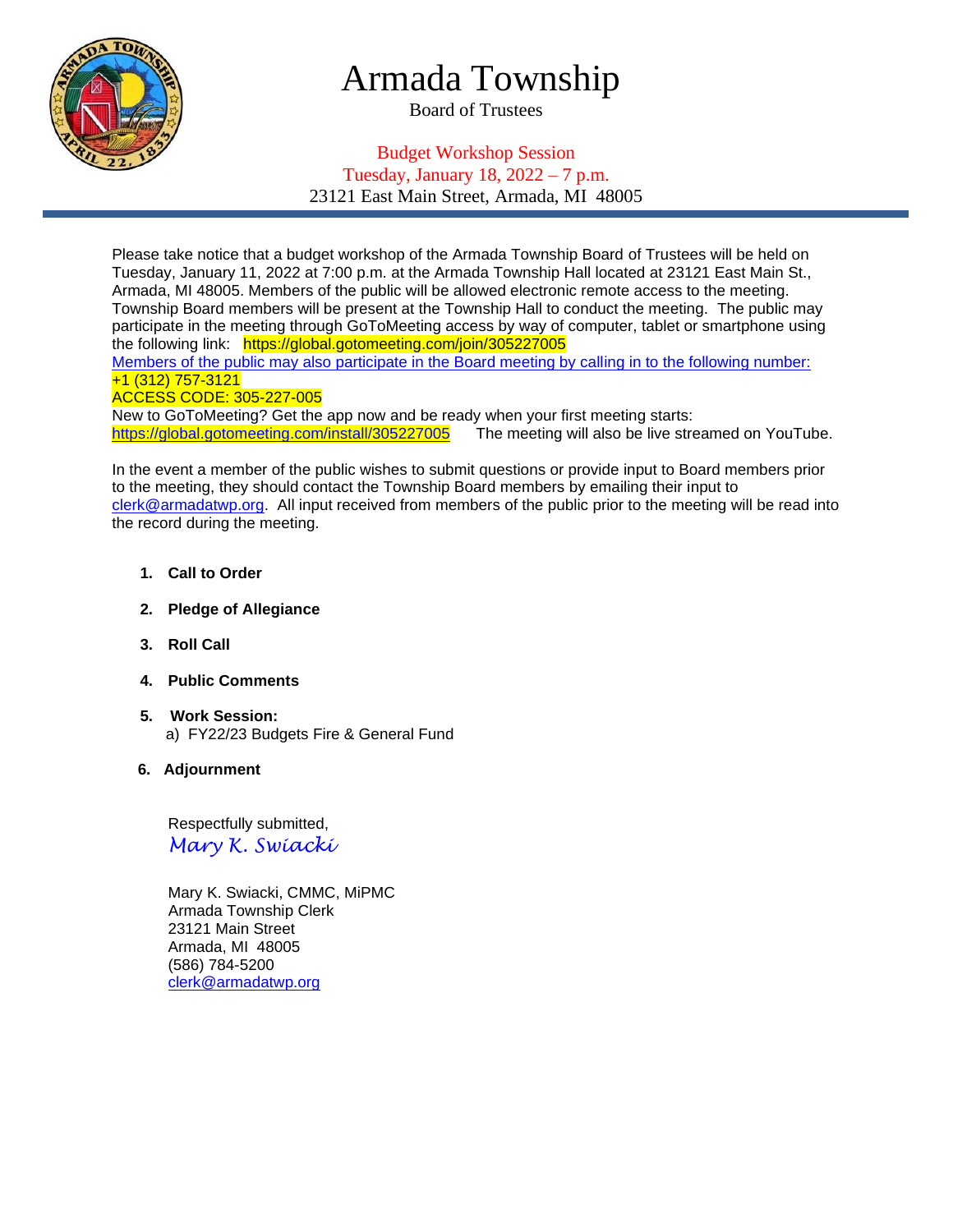

# Armada Township

Board of Trustees

## Budget Workshop Session Tuesday, January 18, 2022 – 7 p.m. 23121 East Main Street, Armada, MI 48005

Please take notice that a budget workshop of the Armada Township Board of Trustees will be held on Tuesday, January 11, 2022 at 7:00 p.m. at the Armada Township Hall located at 23121 East Main St., Armada, MI 48005. Members of the public will be allowed electronic remote access to the meeting. Township Board members will be present at the Township Hall to conduct the meeting. The public may participate in the meeting through GoToMeeting access by way of computer, tablet or smartphone using the following link: https://global.gotomeeting.com/join/305227005

Members of the public may also participate in the Board meeting by calling in to the following number: +1 (312) 757-3121

#### ACCESS CODE: 305-227-005

New to GoToMeeting? Get the app now and be ready when your first meeting starts: <https://global.gotomeeting.com/install/305227005>The meeting will also be live streamed on YouTube.

In the event a member of the public wishes to submit questions or provide input to Board members prior to the meeting, they should contact the Township Board members by emailing their input to [clerk@armadatwp.org.](mailto:clerk@armadatwp.org) All input received from members of the public prior to the meeting will be read into the record during the meeting.

- **1. Call to Order**
- **2. Pledge of Allegiance**
- **3. Roll Call**
- **4. Public Comments**
- **5. Work Session:**  a) FY22/23 Budgets Fire & General Fund
- **6. Adjournment**

 Respectfully submitted, *Mary K. Swiacki*

 Mary K. Swiacki, CMMC, MiPMC Armada Township Clerk 23121 Main Street Armada, MI 48005 (586) 784-5200 [clerk@armadatwp.org](mailto:clerk@armadatwp.org)